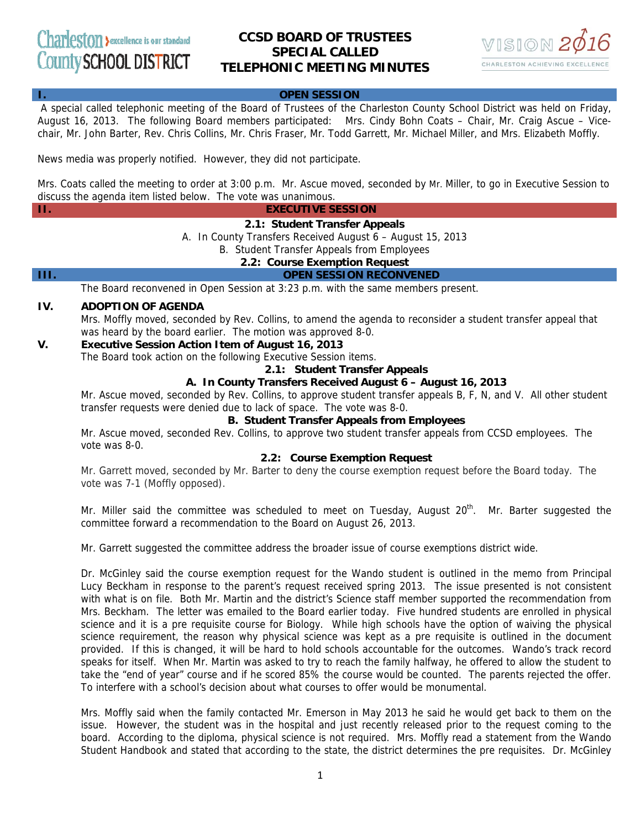# **CCSD BOARD OF TRUSTEES SPECIAL CALLED TELEPHONIC MEETING MINUTES**



## **I. OPEN SESSION**

A special called telephonic meeting of the Board of Trustees of the Charleston County School District was held on Friday, August 16, 2013. The following Board members participated: Mrs. Cindy Bohn Coats – Chair, Mr. Craig Ascue – Vicechair, Mr. John Barter, Rev. Chris Collins, Mr. Chris Fraser, Mr. Todd Garrett, Mr. Michael Miller, and Mrs. Elizabeth Moffly.

News media was properly notified. However, they did not participate.

Mrs. Coats called the meeting to order at 3:00 p.m. Mr. Ascue moved, seconded by Mr. Miller, to go in Executive Session to discuss the agenda item listed below. The vote was unanimous.

**II. EXECUTIVE SESSION** 

## **2.1: Student Transfer Appeals**

A. In County Transfers Received August 6 – August 15, 2013

B. Student Transfer Appeals from Employees

## **2.2: Course Exemption Request**

## **III. OPEN SESSION RECONVENED**

The Board reconvened in Open Session at 3:23 p.m. with the same members present.

## **IV. ADOPTION OF AGENDA**

Mrs. Moffly moved, seconded by Rev. Collins, to amend the agenda to reconsider a student transfer appeal that was heard by the board earlier. The motion was approved 8-0.

## **V. Executive Session Action Item of August 16, 2013**

The Board took action on the following Executive Session items.

## **2.1: Student Transfer Appeals**

## **A. In County Transfers Received August 6 – August 16, 2013**

Mr. Ascue moved, seconded by Rev. Collins, to approve student transfer appeals B, F, N, and V. All other student transfer requests were denied due to lack of space. The vote was 8-0.

## **B. Student Transfer Appeals from Employees**

Mr. Ascue moved, seconded Rev. Collins, to approve two student transfer appeals from CCSD employees. The vote was 8-0.

## **2.2: Course Exemption Request**

Mr. Garrett moved, seconded by Mr. Barter to deny the course exemption request before the Board today. The vote was 7-1 (Moffly opposed).

Mr. Miller said the committee was scheduled to meet on Tuesday, August  $20<sup>th</sup>$ . Mr. Barter suggested the committee forward a recommendation to the Board on August 26, 2013.

Mr. Garrett suggested the committee address the broader issue of course exemptions district wide.

Dr. McGinley said the course exemption request for the Wando student is outlined in the memo from Principal Lucy Beckham in response to the parent's request received spring 2013. The issue presented is not consistent with what is on file. Both Mr. Martin and the district's Science staff member supported the recommendation from Mrs. Beckham. The letter was emailed to the Board earlier today. Five hundred students are enrolled in physical science and it is a pre requisite course for Biology. While high schools have the option of waiving the physical science requirement, the reason why physical science was kept as a pre requisite is outlined in the document provided. If this is changed, it will be hard to hold schools accountable for the outcomes. Wando's track record speaks for itself. When Mr. Martin was asked to try to reach the family halfway, he offered to allow the student to take the "end of year" course and if he scored 85% the course would be counted. The parents rejected the offer. To interfere with a school's decision about what courses to offer would be monumental.

Mrs. Moffly said when the family contacted Mr. Emerson in May 2013 he said he would get back to them on the issue. However, the student was in the hospital and just recently released prior to the request coming to the board. According to the diploma, physical science is not required. Mrs. Moffly read a statement from the Wando Student Handbook and stated that according to the state, the district determines the pre requisites. Dr. McGinley